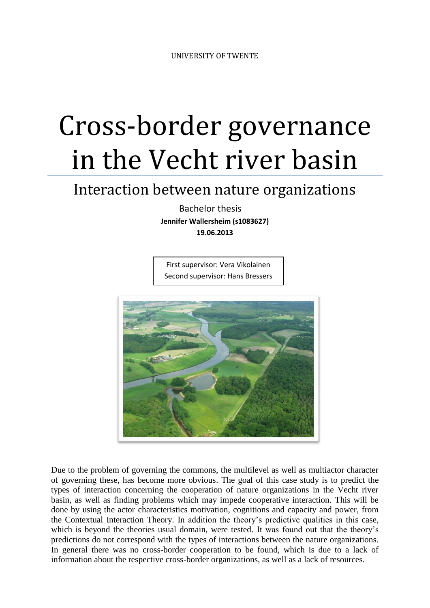# Cross-border governance in the Vecht river basin

# Interaction between nature organizations

 Bachelor thesis **Jennifer Wallersheim (s1083627)**

**19.06.2013**

First supervisor: Vera Vikolainen Second supervisor: Hans Bressers



Due to the problem of governing the commons, the multilevel as well as multiactor character of governing these, has become more obvious. The goal of this case study is to predict the types of interaction concerning the cooperation of nature organizations in the Vecht river basin, as well as finding problems which may impede cooperative interaction. This will be done by using the actor characteristics motivation, cognitions and capacity and power, from the Contextual Interaction Theory. In addition the theory's predictive qualities in this case, which is beyond the theories usual domain, were tested. It was found out that the theory's predictions do not correspond with the types of interactions between the nature organizations. In general there was no cross-border cooperation to be found, which is due to a lack of information about the respective cross-border organizations, as well as a lack of resources.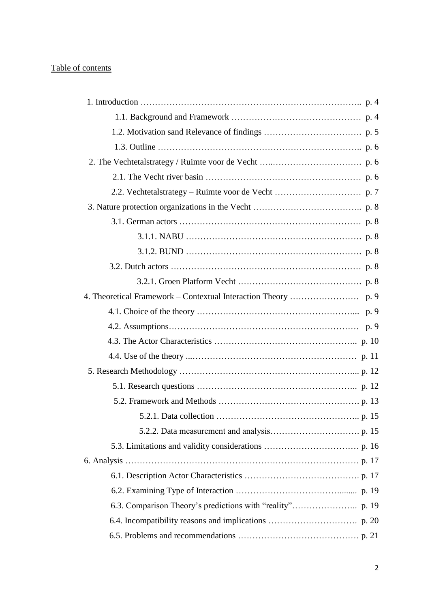# Table of contents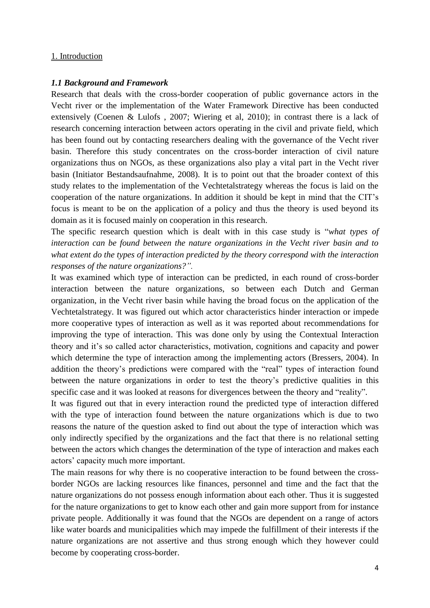#### 1. Introduction

#### *1.1 Background and Framework*

Research that deals with the cross-border cooperation of public governance actors in the Vecht river or the implementation of the Water Framework Directive has been conducted extensively (Coenen & Lulofs , 2007; Wiering et al, 2010); in contrast there is a lack of research concerning interaction between actors operating in the civil and private field, which has been found out by contacting researchers dealing with the governance of the Vecht river basin. Therefore this study concentrates on the cross-border interaction of civil nature organizations thus on NGOs, as these organizations also play a vital part in the Vecht river basin (Initiator Bestandsaufnahme, 2008). It is to point out that the broader context of this study relates to the implementation of the Vechtetalstrategy whereas the focus is laid on the cooperation of the nature organizations. In addition it should be kept in mind that the CIT's focus is meant to be on the application of a policy and thus the theory is used beyond its domain as it is focused mainly on cooperation in this research.

The specific research question which is dealt with in this case study is "*what types of interaction can be found between the nature organizations in the Vecht river basin and to what extent do the types of interaction predicted by the theory correspond with the interaction responses of the nature organizations?".*

It was examined which type of interaction can be predicted, in each round of cross-border interaction between the nature organizations, so between each Dutch and German organization, in the Vecht river basin while having the broad focus on the application of the Vechtetalstrategy. It was figured out which actor characteristics hinder interaction or impede more cooperative types of interaction as well as it was reported about recommendations for improving the type of interaction. This was done only by using the Contextual Interaction theory and it's so called actor characteristics, motivation, cognitions and capacity and power which determine the type of interaction among the implementing actors (Bressers, 2004). In addition the theory's predictions were compared with the "real" types of interaction found between the nature organizations in order to test the theory's predictive qualities in this specific case and it was looked at reasons for divergences between the theory and "reality".

It was figured out that in every interaction round the predicted type of interaction differed with the type of interaction found between the nature organizations which is due to two reasons the nature of the question asked to find out about the type of interaction which was only indirectly specified by the organizations and the fact that there is no relational setting between the actors which changes the determination of the type of interaction and makes each actors' capacity much more important.

The main reasons for why there is no cooperative interaction to be found between the crossborder NGOs are lacking resources like finances, personnel and time and the fact that the nature organizations do not possess enough information about each other. Thus it is suggested for the nature organizations to get to know each other and gain more support from for instance private people. Additionally it was found that the NGOs are dependent on a range of actors like water boards and municipalities which may impede the fulfillment of their interests if the nature organizations are not assertive and thus strong enough which they however could become by cooperating cross-border.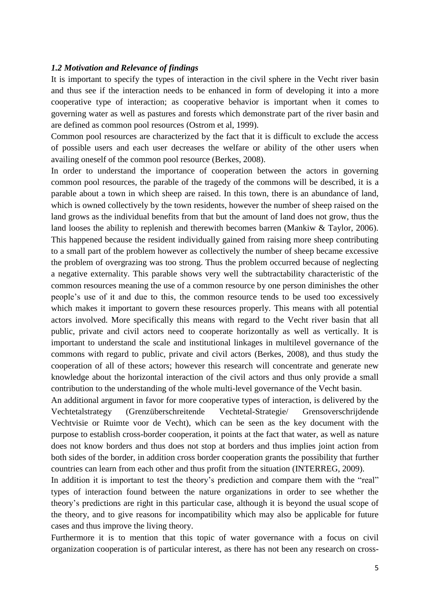#### *1.2 Motivation and Relevance of findings*

It is important to specify the types of interaction in the civil sphere in the Vecht river basin and thus see if the interaction needs to be enhanced in form of developing it into a more cooperative type of interaction; as cooperative behavior is important when it comes to governing water as well as pastures and forests which demonstrate part of the river basin and are defined as common pool resources (Ostrom et al, 1999).

Common pool resources are characterized by the fact that it is difficult to exclude the access of possible users and each user decreases the welfare or ability of the other users when availing oneself of the common pool resource (Berkes, 2008).

In order to understand the importance of cooperation between the actors in governing common pool resources, the parable of the tragedy of the commons will be described, it is a parable about a town in which sheep are raised. In this town, there is an abundance of land, which is owned collectively by the town residents, however the number of sheep raised on the land grows as the individual benefits from that but the amount of land does not grow, thus the land looses the ability to replenish and therewith becomes barren (Mankiw & Taylor, 2006). This happened because the resident individually gained from raising more sheep contributing to a small part of the problem however as collectively the number of sheep became excessive the problem of overgrazing was too strong. Thus the problem occurred because of neglecting a negative externality. This parable shows very well the subtractability characteristic of the common resources meaning the use of a common resource by one person diminishes the other people's use of it and due to this, the common resource tends to be used too excessively which makes it important to govern these resources properly. This means with all potential actors involved. More specifically this means with regard to the Vecht river basin that all public, private and civil actors need to cooperate horizontally as well as vertically. It is important to understand the scale and institutional linkages in multilevel governance of the commons with regard to public, private and civil actors (Berkes, 2008), and thus study the cooperation of all of these actors; however this research will concentrate and generate new knowledge about the horizontal interaction of the civil actors and thus only provide a small contribution to the understanding of the whole multi-level governance of the Vecht basin.

An additional argument in favor for more cooperative types of interaction, is delivered by the Vechtetalstrategy (Grenzüberschreitende Vechtetal-Strategie/ Grensoverschrijdende Vechtvisie or Ruimte voor de Vecht), which can be seen as the key document with the purpose to establish cross-border cooperation, it points at the fact that water, as well as nature does not know borders and thus does not stop at borders and thus implies joint action from both sides of the border, in addition cross border cooperation grants the possibility that further countries can learn from each other and thus profit from the situation (INTERREG, 2009).

In addition it is important to test the theory's prediction and compare them with the "real" types of interaction found between the nature organizations in order to see whether the theory's predictions are right in this particular case, although it is beyond the usual scope of the theory, and to give reasons for incompatibility which may also be applicable for future cases and thus improve the living theory.

Furthermore it is to mention that this topic of water governance with a focus on civil organization cooperation is of particular interest, as there has not been any research on cross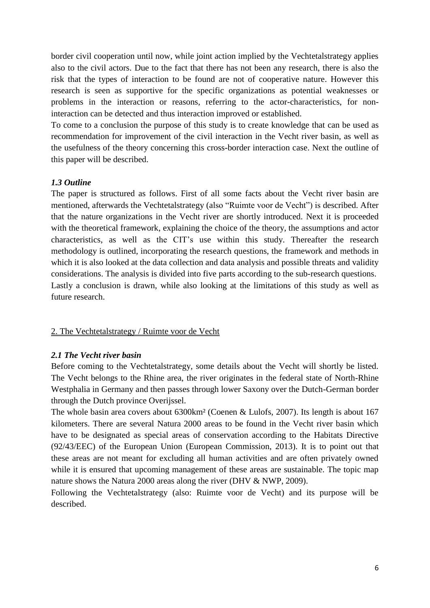border civil cooperation until now, while joint action implied by the Vechtetalstrategy applies also to the civil actors. Due to the fact that there has not been any research, there is also the risk that the types of interaction to be found are not of cooperative nature. However this research is seen as supportive for the specific organizations as potential weaknesses or problems in the interaction or reasons, referring to the actor-characteristics, for noninteraction can be detected and thus interaction improved or established.

To come to a conclusion the purpose of this study is to create knowledge that can be used as recommendation for improvement of the civil interaction in the Vecht river basin, as well as the usefulness of the theory concerning this cross-border interaction case. Next the outline of this paper will be described.

# *1.3 Outline*

The paper is structured as follows. First of all some facts about the Vecht river basin are mentioned, afterwards the Vechtetalstrategy (also "Ruimte voor de Vecht") is described. After that the nature organizations in the Vecht river are shortly introduced. Next it is proceeded with the theoretical framework, explaining the choice of the theory, the assumptions and actor characteristics, as well as the CIT's use within this study. Thereafter the research methodology is outlined, incorporating the research questions, the framework and methods in which it is also looked at the data collection and data analysis and possible threats and validity considerations. The analysis is divided into five parts according to the sub-research questions. Lastly a conclusion is drawn, while also looking at the limitations of this study as well as future research.

# 2. The Vechtetalstrategy / Ruimte voor de Vecht

#### *2.1 The Vecht river basin*

Before coming to the Vechtetalstrategy, some details about the Vecht will shortly be listed. The Vecht belongs to the Rhine area, the river originates in the federal state of North-Rhine Westphalia in Germany and then passes through lower Saxony over the Dutch-German border through the Dutch province Overijssel.

The whole basin area covers about 6300km² (Coenen & Lulofs, 2007). Its length is about 167 kilometers. There are several Natura 2000 areas to be found in the Vecht river basin which have to be designated as special areas of conservation according to the Habitats Directive (92/43/EEC) of the European Union (European Commission, 2013). It is to point out that these areas are not meant for excluding all human activities and are often privately owned while it is ensured that upcoming management of these areas are sustainable. The topic map nature shows the Natura 2000 areas along the river (DHV & NWP, 2009).

Following the Vechtetalstrategy (also: Ruimte voor de Vecht) and its purpose will be described.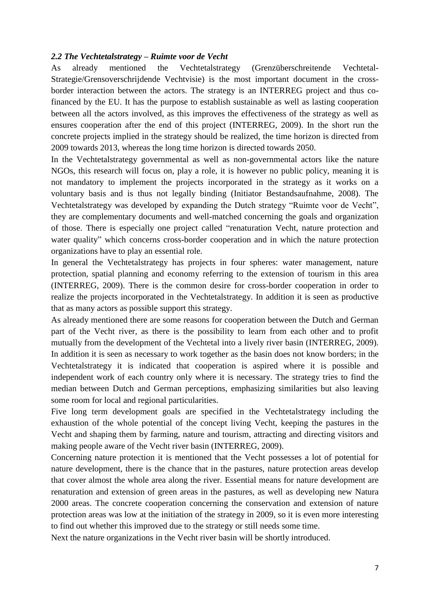#### *2.2 The Vechtetalstrategy – Ruimte voor de Vecht*

As already mentioned the Vechtetalstrategy (Grenzüberschreitende Vechtetal-Strategie/Grensoverschrijdende Vechtvisie) is the most important document in the crossborder interaction between the actors. The strategy is an INTERREG project and thus cofinanced by the EU. It has the purpose to establish sustainable as well as lasting cooperation between all the actors involved, as this improves the effectiveness of the strategy as well as ensures cooperation after the end of this project (INTERREG, 2009). In the short run the concrete projects implied in the strategy should be realized, the time horizon is directed from 2009 towards 2013, whereas the long time horizon is directed towards 2050.

In the Vechtetalstrategy governmental as well as non-governmental actors like the nature NGOs, this research will focus on, play a role, it is however no public policy, meaning it is not mandatory to implement the projects incorporated in the strategy as it works on a voluntary basis and is thus not legally binding (Initiator Bestandsaufnahme, 2008). The Vechtetalstrategy was developed by expanding the Dutch strategy "Ruimte voor de Vecht", they are complementary documents and well-matched concerning the goals and organization of those. There is especially one project called "renaturation Vecht, nature protection and water quality" which concerns cross-border cooperation and in which the nature protection organizations have to play an essential role.

In general the Vechtetalstrategy has projects in four spheres: water management, nature protection, spatial planning and economy referring to the extension of tourism in this area (INTERREG, 2009). There is the common desire for cross-border cooperation in order to realize the projects incorporated in the Vechtetalstrategy. In addition it is seen as productive that as many actors as possible support this strategy.

As already mentioned there are some reasons for cooperation between the Dutch and German part of the Vecht river, as there is the possibility to learn from each other and to profit mutually from the development of the Vechtetal into a lively river basin (INTERREG, 2009). In addition it is seen as necessary to work together as the basin does not know borders; in the Vechtetalstrategy it is indicated that cooperation is aspired where it is possible and independent work of each country only where it is necessary. The strategy tries to find the median between Dutch and German perceptions, emphasizing similarities but also leaving some room for local and regional particularities.

Five long term development goals are specified in the Vechtetalstrategy including the exhaustion of the whole potential of the concept living Vecht, keeping the pastures in the Vecht and shaping them by farming, nature and tourism, attracting and directing visitors and making people aware of the Vecht river basin (INTERREG, 2009).

Concerning nature protection it is mentioned that the Vecht possesses a lot of potential for nature development, there is the chance that in the pastures, nature protection areas develop that cover almost the whole area along the river. Essential means for nature development are renaturation and extension of green areas in the pastures, as well as developing new Natura 2000 areas. The concrete cooperation concerning the conservation and extension of nature protection areas was low at the initiation of the strategy in 2009, so it is even more interesting to find out whether this improved due to the strategy or still needs some time.

Next the nature organizations in the Vecht river basin will be shortly introduced.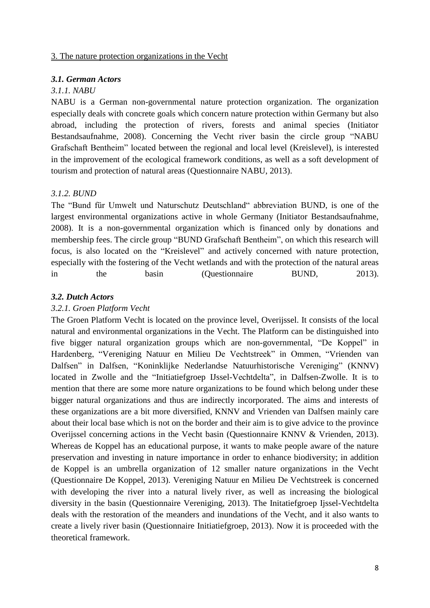#### 3. The nature protection organizations in the Vecht

#### *3.1. German Actors*

# *3.1.1. NABU*

NABU is a German non-governmental nature protection organization. The organization especially deals with concrete goals which concern nature protection within Germany but also abroad, including the protection of rivers, forests and animal species (Initiator Bestandsaufnahme, 2008). Concerning the Vecht river basin the circle group "NABU Grafschaft Bentheim" located between the regional and local level (Kreislevel), is interested in the improvement of the ecological framework conditions, as well as a soft development of tourism and protection of natural areas (Questionnaire NABU, 2013).

#### *3.1.2. BUND*

The "Bund für Umwelt und Naturschutz Deutschland" abbreviation BUND, is one of the largest environmental organizations active in whole Germany (Initiator Bestandsaufnahme, 2008). It is a non-governmental organization which is financed only by donations and membership fees. The circle group "BUND Grafschaft Bentheim", on which this research will focus, is also located on the "Kreislevel" and actively concerned with nature protection, especially with the fostering of the Vecht wetlands and with the protection of the natural areas in the basin (Questionnaire BUND, 2013).

#### *3.2. Dutch Actors*

#### *3.2.1. Groen Platform Vecht*

The Groen Platform Vecht is located on the province level, Overijssel. It consists of the local natural and environmental organizations in the Vecht. The Platform can be distinguished into five bigger natural organization groups which are non-governmental, "De Koppel" in Hardenberg, "Vereniging Natuur en Milieu De Vechtstreek" in Ommen, "Vrienden van Dalfsen" in Dalfsen, "Koninklijke Nederlandse Natuurhistorische Vereniging" (KNNV) located in Zwolle and the "Initiatiefgroep IJssel-Vechtdelta", in Dalfsen-Zwolle. It is to mention that there are some more nature organizations to be found which belong under these bigger natural organizations and thus are indirectly incorporated. The aims and interests of these organizations are a bit more diversified, KNNV and Vrienden van Dalfsen mainly care about their local base which is not on the border and their aim is to give advice to the province Overijssel concerning actions in the Vecht basin (Questionnaire KNNV & Vrienden, 2013). Whereas de Koppel has an educational purpose, it wants to make people aware of the nature preservation and investing in nature importance in order to enhance biodiversity; in addition de Koppel is an umbrella organization of 12 smaller nature organizations in the Vecht (Questionnaire De Koppel, 2013). Vereniging Natuur en Milieu De Vechtstreek is concerned with developing the river into a natural lively river, as well as increasing the biological diversity in the basin (Questionnaire Vereniging, 2013). The Initatiefgroep Ijssel-Vechtdelta deals with the restoration of the meanders and inundations of the Vecht, and it also wants to create a lively river basin (Questionnaire Initiatiefgroep, 2013). Now it is proceeded with the theoretical framework.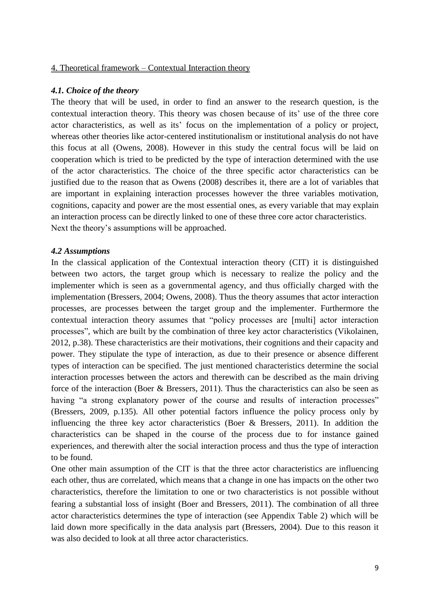# 4. Theoretical framework – Contextual Interaction theory

#### *4.1. Choice of the theory*

The theory that will be used, in order to find an answer to the research question, is the contextual interaction theory. This theory was chosen because of its' use of the three core actor characteristics, as well as its' focus on the implementation of a policy or project, whereas other theories like actor-centered institutionalism or institutional analysis do not have this focus at all (Owens, 2008). However in this study the central focus will be laid on cooperation which is tried to be predicted by the type of interaction determined with the use of the actor characteristics. The choice of the three specific actor characteristics can be justified due to the reason that as Owens (2008) describes it, there are a lot of variables that are important in explaining interaction processes however the three variables motivation, cognitions, capacity and power are the most essential ones, as every variable that may explain an interaction process can be directly linked to one of these three core actor characteristics. Next the theory's assumptions will be approached.

# *4.2 Assumptions*

In the classical application of the Contextual interaction theory (CIT) it is distinguished between two actors, the target group which is necessary to realize the policy and the implementer which is seen as a governmental agency, and thus officially charged with the implementation (Bressers, 2004; Owens, 2008). Thus the theory assumes that actor interaction processes, are processes between the target group and the implementer. Furthermore the contextual interaction theory assumes that "policy processes are [multi] actor interaction processes", which are built by the combination of three key actor characteristics (Vikolainen, 2012, p.38). These characteristics are their motivations, their cognitions and their capacity and power. They stipulate the type of interaction, as due to their presence or absence different types of interaction can be specified. The just mentioned characteristics determine the social interaction processes between the actors and therewith can be described as the main driving force of the interaction (Boer & Bressers, 2011). Thus the characteristics can also be seen as having "a strong explanatory power of the course and results of interaction processes" (Bressers, 2009, p.135). All other potential factors influence the policy process only by influencing the three key actor characteristics (Boer & Bressers, 2011). In addition the characteristics can be shaped in the course of the process due to for instance gained experiences, and therewith alter the social interaction process and thus the type of interaction to be found.

One other main assumption of the CIT is that the three actor characteristics are influencing each other, thus are correlated, which means that a change in one has impacts on the other two characteristics, therefore the limitation to one or two characteristics is not possible without fearing a substantial loss of insight (Boer and Bressers, 2011). The combination of all three actor characteristics determines the type of interaction (see Appendix Table 2) which will be laid down more specifically in the data analysis part (Bressers, 2004). Due to this reason it was also decided to look at all three actor characteristics.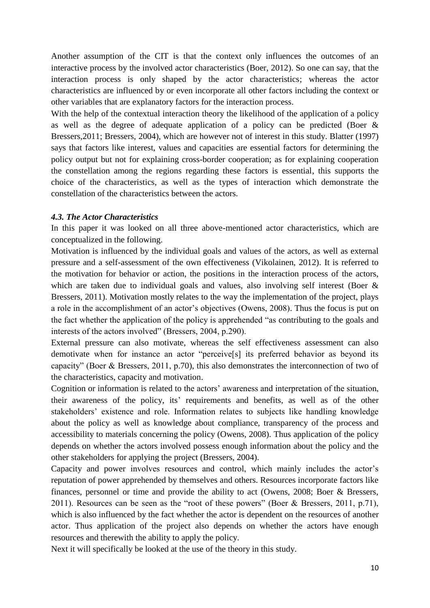Another assumption of the CIT is that the context only influences the outcomes of an interactive process by the involved actor characteristics (Boer, 2012). So one can say, that the interaction process is only shaped by the actor characteristics; whereas the actor characteristics are influenced by or even incorporate all other factors including the context or other variables that are explanatory factors for the interaction process.

With the help of the contextual interaction theory the likelihood of the application of a policy as well as the degree of adequate application of a policy can be predicted (Boer & Bressers,2011; Bressers, 2004), which are however not of interest in this study. Blatter (1997) says that factors like interest, values and capacities are essential factors for determining the policy output but not for explaining cross-border cooperation; as for explaining cooperation the constellation among the regions regarding these factors is essential, this supports the choice of the characteristics, as well as the types of interaction which demonstrate the constellation of the characteristics between the actors.

# *4.3. The Actor Characteristics*

In this paper it was looked on all three above-mentioned actor characteristics, which are conceptualized in the following.

Motivation is influenced by the individual goals and values of the actors, as well as external pressure and a self-assessment of the own effectiveness (Vikolainen, 2012). It is referred to the motivation for behavior or action, the positions in the interaction process of the actors, which are taken due to individual goals and values, also involving self interest (Boer & Bressers, 2011). Motivation mostly relates to the way the implementation of the project, plays a role in the accomplishment of an actor's objectives (Owens, 2008). Thus the focus is put on the fact whether the application of the policy is apprehended "as contributing to the goals and interests of the actors involved" (Bressers, 2004, p.290).

External pressure can also motivate, whereas the self effectiveness assessment can also demotivate when for instance an actor "perceive[s] its preferred behavior as beyond its capacity" (Boer & Bressers, 2011, p.70), this also demonstrates the interconnection of two of the characteristics, capacity and motivation.

Cognition or information is related to the actors' awareness and interpretation of the situation, their awareness of the policy, its' requirements and benefits, as well as of the other stakeholders' existence and role. Information relates to subjects like handling knowledge about the policy as well as knowledge about compliance, transparency of the process and accessibility to materials concerning the policy (Owens, 2008). Thus application of the policy depends on whether the actors involved possess enough information about the policy and the other stakeholders for applying the project (Bressers, 2004).

Capacity and power involves resources and control, which mainly includes the actor's reputation of power apprehended by themselves and others. Resources incorporate factors like finances, personnel or time and provide the ability to act (Owens, 2008; Boer & Bressers, 2011). Resources can be seen as the "root of these powers" (Boer & Bressers, 2011, p.71), which is also influenced by the fact whether the actor is dependent on the resources of another actor. Thus application of the project also depends on whether the actors have enough resources and therewith the ability to apply the policy.

Next it will specifically be looked at the use of the theory in this study.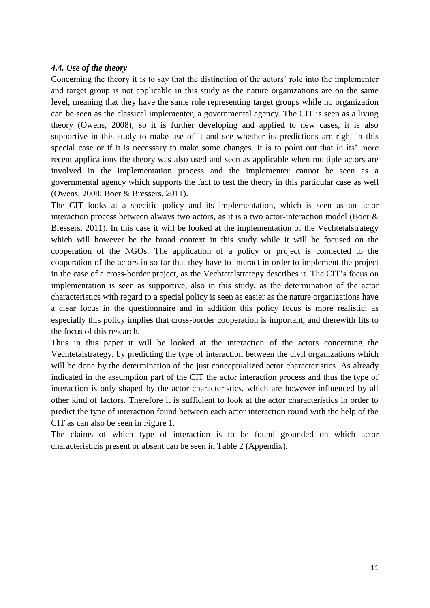# *4.4. Use of the theory*

Concerning the theory it is to say that the distinction of the actors' role into the implementer and target group is not applicable in this study as the nature organizations are on the same level, meaning that they have the same role representing target groups while no organization can be seen as the classical implementer, a governmental agency. The CIT is seen as a living theory (Owens, 2008); so it is further developing and applied to new cases, it is also supportive in this study to make use of it and see whether its predictions are right in this special case or if it is necessary to make some changes. It is to point out that in its' more recent applications the theory was also used and seen as applicable when multiple actors are involved in the implementation process and the implementer cannot be seen as a governmental agency which supports the fact to test the theory in this particular case as well (Owens, 2008; Boer & Bressers, 2011).

The CIT looks at a specific policy and its implementation, which is seen as an actor interaction process between always two actors, as it is a two actor-interaction model (Boer & Bressers, 2011). In this case it will be looked at the implementation of the Vechtetalstrategy which will however be the broad context in this study while it will be focused on the cooperation of the NGOs. The application of a policy or project is connected to the cooperation of the actors in so far that they have to interact in order to implement the project in the case of a cross-border project, as the Vechtetalstrategy describes it. The CIT's focus on implementation is seen as supportive, also in this study, as the determination of the actor characteristics with regard to a special policy is seen as easier as the nature organizations have a clear focus in the questionnaire and in addition this policy focus is more realistic; as especially this policy implies that cross-border cooperation is important, and therewith fits to the focus of this research.

Thus in this paper it will be looked at the interaction of the actors concerning the Vechtetalstrategy, by predicting the type of interaction between the civil organizations which will be done by the determination of the just conceptualized actor characteristics. As already indicated in the assumption part of the CIT the actor interaction process and thus the type of interaction is only shaped by the actor characteristics, which are however influenced by all other kind of factors. Therefore it is sufficient to look at the actor characteristics in order to predict the type of interaction found between each actor interaction round with the help of the CIT as can also be seen in Figure 1.

The claims of which type of interaction is to be found grounded on which actor characteristicis present or absent can be seen in Table 2 (Appendix).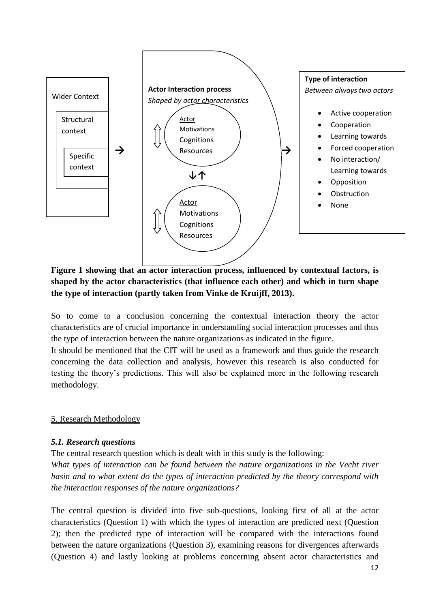

# **Figure 1 showing that an actor interaction process, influenced by contextual factors, is shaped by the actor characteristics (that influence each other) and which in turn shape the type of interaction (partly taken from Vinke de Kruijff, 2013).**

So to come to a conclusion concerning the contextual interaction theory the actor characteristics are of crucial importance in understanding social interaction processes and thus the type of interaction between the nature organizations as indicated in the figure.

It should be mentioned that the CIT will be used as a framework and thus guide the research concerning the data collection and analysis, however this research is also conducted for testing the theory's predictions. This will also be explained more in the following research methodology.

# 5. Research Methodology

# *5.1. Research questions*

The central research question which is dealt with in this study is the following:

*What types of interaction can be found between the nature organizations in the Vecht river basin and to what extent do the types of interaction predicted by the theory correspond with the interaction responses of the nature organizations?*

The central question is divided into five sub-questions, looking first of all at the actor characteristics (Question 1) with which the types of interaction are predicted next (Question 2); then the predicted type of interaction will be compared with the interactions found between the nature organizations (Question 3), examining reasons for divergences afterwards (Question 4) and lastly looking at problems concerning absent actor characteristics and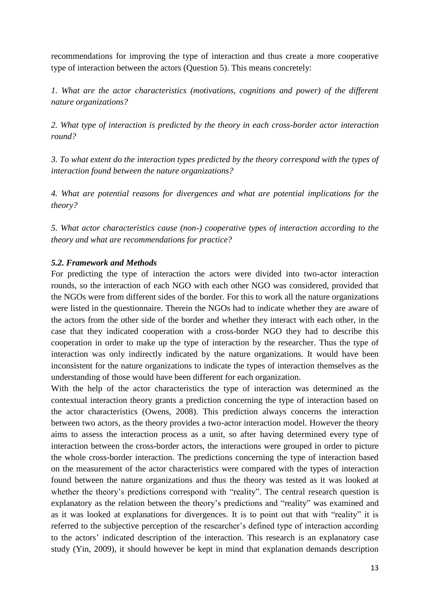recommendations for improving the type of interaction and thus create a more cooperative type of interaction between the actors (Question 5). This means concretely:

*1. What are the actor characteristics (motivations, cognitions and power) of the different nature organizations?*

*2. What type of interaction is predicted by the theory in each cross-border actor interaction round?* 

*3. To what extent do the interaction types predicted by the theory correspond with the types of interaction found between the nature organizations?* 

*4. What are potential reasons for divergences and what are potential implications for the theory?* 

*5. What actor characteristics cause (non-) cooperative types of interaction according to the theory and what are recommendations for practice?*

# *5.2. Framework and Methods*

For predicting the type of interaction the actors were divided into two-actor interaction rounds, so the interaction of each NGO with each other NGO was considered, provided that the NGOs were from different sides of the border. For this to work all the nature organizations were listed in the questionnaire. Therein the NGOs had to indicate whether they are aware of the actors from the other side of the border and whether they interact with each other, in the case that they indicated cooperation with a cross-border NGO they had to describe this cooperation in order to make up the type of interaction by the researcher. Thus the type of interaction was only indirectly indicated by the nature organizations. It would have been inconsistent for the nature organizations to indicate the types of interaction themselves as the understanding of those would have been different for each organization.

With the help of the actor characteristics the type of interaction was determined as the contextual interaction theory grants a prediction concerning the type of interaction based on the actor characteristics (Owens, 2008). This prediction always concerns the interaction between two actors, as the theory provides a two-actor interaction model. However the theory aims to assess the interaction process as a unit, so after having determined every type of interaction between the cross-border actors, the interactions were grouped in order to picture the whole cross-border interaction. The predictions concerning the type of interaction based on the measurement of the actor characteristics were compared with the types of interaction found between the nature organizations and thus the theory was tested as it was looked at whether the theory's predictions correspond with "reality". The central research question is explanatory as the relation between the theory's predictions and "reality" was examined and as it was looked at explanations for divergences. It is to point out that with "reality" it is referred to the subjective perception of the researcher's defined type of interaction according to the actors' indicated description of the interaction. This research is an explanatory case study (Yin, 2009), it should however be kept in mind that explanation demands description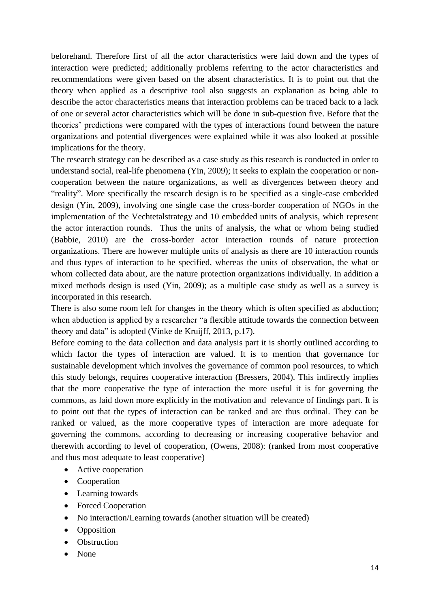beforehand. Therefore first of all the actor characteristics were laid down and the types of interaction were predicted; additionally problems referring to the actor characteristics and recommendations were given based on the absent characteristics. It is to point out that the theory when applied as a descriptive tool also suggests an explanation as being able to describe the actor characteristics means that interaction problems can be traced back to a lack of one or several actor characteristics which will be done in sub-question five. Before that the theories' predictions were compared with the types of interactions found between the nature organizations and potential divergences were explained while it was also looked at possible implications for the theory.

The research strategy can be described as a case study as this research is conducted in order to understand social, real-life phenomena (Yin, 2009); it seeks to explain the cooperation or noncooperation between the nature organizations, as well as divergences between theory and "reality". More specifically the research design is to be specified as a single-case embedded design (Yin, 2009), involving one single case the cross-border cooperation of NGOs in the implementation of the Vechtetalstrategy and 10 embedded units of analysis, which represent the actor interaction rounds. Thus the units of analysis, the what or whom being studied (Babbie, 2010) are the cross-border actor interaction rounds of nature protection organizations. There are however multiple units of analysis as there are 10 interaction rounds and thus types of interaction to be specified, whereas the units of observation, the what or whom collected data about, are the nature protection organizations individually. In addition a mixed methods design is used (Yin, 2009); as a multiple case study as well as a survey is incorporated in this research.

There is also some room left for changes in the theory which is often specified as abduction; when abduction is applied by a researcher "a flexible attitude towards the connection between theory and data" is adopted (Vinke de Kruijff, 2013, p.17).

Before coming to the data collection and data analysis part it is shortly outlined according to which factor the types of interaction are valued. It is to mention that governance for sustainable development which involves the governance of common pool resources, to which this study belongs, requires cooperative interaction (Bressers, 2004). This indirectly implies that the more cooperative the type of interaction the more useful it is for governing the commons, as laid down more explicitly in the motivation and relevance of findings part. It is to point out that the types of interaction can be ranked and are thus ordinal. They can be ranked or valued, as the more cooperative types of interaction are more adequate for governing the commons, according to decreasing or increasing cooperative behavior and therewith according to level of cooperation, (Owens, 2008): (ranked from most cooperative and thus most adequate to least cooperative)

- Active cooperation
- Cooperation
- Learning towards
- Forced Cooperation
- No interaction/Learning towards (another situation will be created)
- Opposition
- Obstruction
- None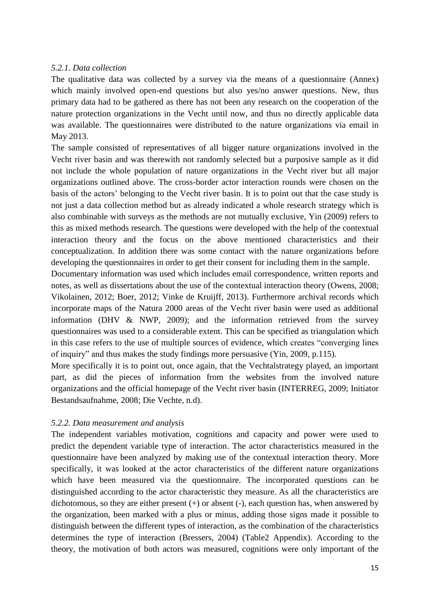# *5.2.1. Data collection*

The qualitative data was collected by a survey via the means of a questionnaire (Annex) which mainly involved open-end questions but also yes/no answer questions. New, thus primary data had to be gathered as there has not been any research on the cooperation of the nature protection organizations in the Vecht until now, and thus no directly applicable data was available. The questionnaires were distributed to the nature organizations via email in May 2013.

The sample consisted of representatives of all bigger nature organizations involved in the Vecht river basin and was therewith not randomly selected but a purposive sample as it did not include the whole population of nature organizations in the Vecht river but all major organizations outlined above. The cross-border actor interaction rounds were chosen on the basis of the actors' belonging to the Vecht river basin. It is to point out that the case study is not just a data collection method but as already indicated a whole research strategy which is also combinable with surveys as the methods are not mutually exclusive, Yin (2009) refers to this as mixed methods research. The questions were developed with the help of the contextual interaction theory and the focus on the above mentioned characteristics and their conceptualization. In addition there was some contact with the nature organizations before developing the questionnaires in order to get their consent for including them in the sample.

Documentary information was used which includes email correspondence, written reports and notes, as well as dissertations about the use of the contextual interaction theory (Owens, 2008; Vikolainen, 2012; Boer, 2012; Vinke de Kruijff, 2013). Furthermore archival records which incorporate maps of the Natura 2000 areas of the Vecht river basin were used as additional information (DHV & NWP, 2009); and the information retrieved from the survey questionnaires was used to a considerable extent. This can be specified as triangulation which in this case refers to the use of multiple sources of evidence, which creates "converging lines of inquiry" and thus makes the study findings more persuasive (Yin, 2009, p.115).

More specifically it is to point out, once again, that the Vechtalstrategy played, an important part, as did the pieces of information from the websites from the involved nature organizations and the official homepage of the Vecht river basin (INTERREG, 2009; Initiator Bestandsaufnahme, 2008; Die Vechte, n.d).

# *5.2.2. Data measurement and analysis*

The independent variables motivation, cognitions and capacity and power were used to predict the dependent variable type of interaction. The actor characteristics measured in the questionnaire have been analyzed by making use of the contextual interaction theory. More specifically, it was looked at the actor characteristics of the different nature organizations which have been measured via the questionnaire. The incorporated questions can be distinguished according to the actor characteristic they measure. As all the characteristics are dichotomous, so they are either present (+) or absent (-), each question has, when answered by the organization, been marked with a plus or minus, adding those signs made it possible to distinguish between the different types of interaction, as the combination of the characteristics determines the type of interaction (Bressers, 2004) (Table2 Appendix). According to the theory, the motivation of both actors was measured, cognitions were only important of the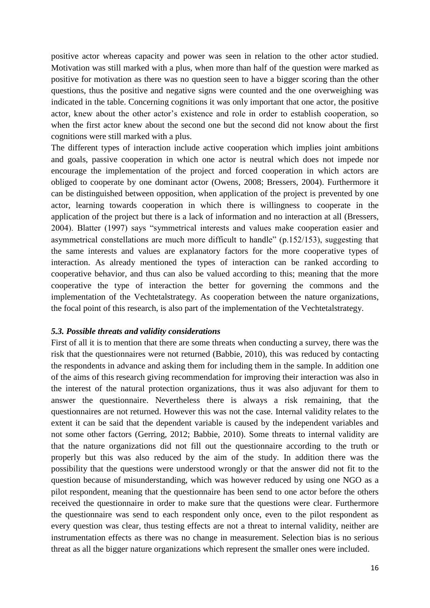positive actor whereas capacity and power was seen in relation to the other actor studied. Motivation was still marked with a plus, when more than half of the question were marked as positive for motivation as there was no question seen to have a bigger scoring than the other questions, thus the positive and negative signs were counted and the one overweighing was indicated in the table. Concerning cognitions it was only important that one actor, the positive actor, knew about the other actor's existence and role in order to establish cooperation, so when the first actor knew about the second one but the second did not know about the first cognitions were still marked with a plus.

The different types of interaction include active cooperation which implies joint ambitions and goals, passive cooperation in which one actor is neutral which does not impede nor encourage the implementation of the project and forced cooperation in which actors are obliged to cooperate by one dominant actor (Owens, 2008; Bressers, 2004). Furthermore it can be distinguished between opposition, when application of the project is prevented by one actor, learning towards cooperation in which there is willingness to cooperate in the application of the project but there is a lack of information and no interaction at all (Bressers, 2004). Blatter (1997) says "symmetrical interests and values make cooperation easier and asymmetrical constellations are much more difficult to handle" (p.152/153), suggesting that the same interests and values are explanatory factors for the more cooperative types of interaction. As already mentioned the types of interaction can be ranked according to cooperative behavior, and thus can also be valued according to this; meaning that the more cooperative the type of interaction the better for governing the commons and the implementation of the Vechtetalstrategy. As cooperation between the nature organizations, the focal point of this research, is also part of the implementation of the Vechtetalstrategy.

#### *5.3. Possible threats and validity considerations*

First of all it is to mention that there are some threats when conducting a survey, there was the risk that the questionnaires were not returned (Babbie, 2010), this was reduced by contacting the respondents in advance and asking them for including them in the sample. In addition one of the aims of this research giving recommendation for improving their interaction was also in the interest of the natural protection organizations, thus it was also adjuvant for them to answer the questionnaire. Nevertheless there is always a risk remaining, that the questionnaires are not returned. However this was not the case. Internal validity relates to the extent it can be said that the dependent variable is caused by the independent variables and not some other factors (Gerring, 2012; Babbie, 2010). Some threats to internal validity are that the nature organizations did not fill out the questionnaire according to the truth or properly but this was also reduced by the aim of the study. In addition there was the possibility that the questions were understood wrongly or that the answer did not fit to the question because of misunderstanding, which was however reduced by using one NGO as a pilot respondent, meaning that the questionnaire has been send to one actor before the others received the questionnaire in order to make sure that the questions were clear. Furthermore the questionnaire was send to each respondent only once, even to the pilot respondent as every question was clear, thus testing effects are not a threat to internal validity, neither are instrumentation effects as there was no change in measurement. Selection bias is no serious threat as all the bigger nature organizations which represent the smaller ones were included.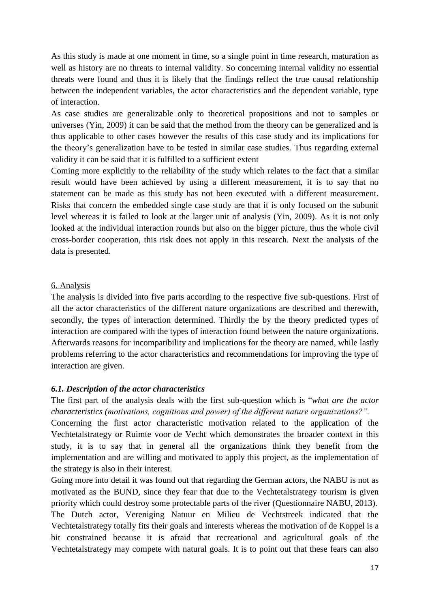As this study is made at one moment in time, so a single point in time research, maturation as well as history are no threats to internal validity. So concerning internal validity no essential threats were found and thus it is likely that the findings reflect the true causal relationship between the independent variables, the actor characteristics and the dependent variable, type of interaction.

As case studies are generalizable only to theoretical propositions and not to samples or universes (Yin, 2009) it can be said that the method from the theory can be generalized and is thus applicable to other cases however the results of this case study and its implications for the theory's generalization have to be tested in similar case studies. Thus regarding external validity it can be said that it is fulfilled to a sufficient extent

Coming more explicitly to the reliability of the study which relates to the fact that a similar result would have been achieved by using a different measurement, it is to say that no statement can be made as this study has not been executed with a different measurement. Risks that concern the embedded single case study are that it is only focused on the subunit level whereas it is failed to look at the larger unit of analysis (Yin, 2009). As it is not only looked at the individual interaction rounds but also on the bigger picture, thus the whole civil cross-border cooperation, this risk does not apply in this research. Next the analysis of the data is presented.

# 6. Analysis

The analysis is divided into five parts according to the respective five sub-questions. First of all the actor characteristics of the different nature organizations are described and therewith, secondly, the types of interaction determined. Thirdly the by the theory predicted types of interaction are compared with the types of interaction found between the nature organizations. Afterwards reasons for incompatibility and implications for the theory are named, while lastly problems referring to the actor characteristics and recommendations for improving the type of interaction are given.

# *6.1. Description of the actor characteristics*

The first part of the analysis deals with the first sub-question which is "*what are the actor characteristics (motivations, cognitions and power) of the different nature organizations?".*

Concerning the first actor characteristic motivation related to the application of the Vechtetalstrategy or Ruimte voor de Vecht which demonstrates the broader context in this study, it is to say that in general all the organizations think they benefit from the implementation and are willing and motivated to apply this project, as the implementation of the strategy is also in their interest.

Going more into detail it was found out that regarding the German actors, the NABU is not as motivated as the BUND, since they fear that due to the Vechtetalstrategy tourism is given priority which could destroy some protectable parts of the river (Questionnaire NABU, 2013). The Dutch actor, Vereniging Natuur en Milieu de Vechtstreek indicated that the Vechtetalstrategy totally fits their goals and interests whereas the motivation of de Koppel is a bit constrained because it is afraid that recreational and agricultural goals of the Vechtetalstrategy may compete with natural goals. It is to point out that these fears can also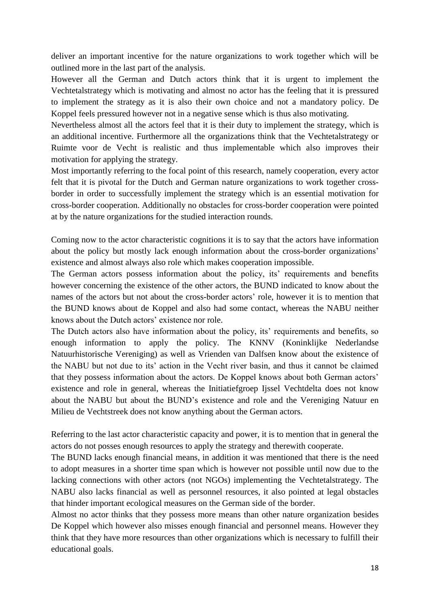deliver an important incentive for the nature organizations to work together which will be outlined more in the last part of the analysis.

However all the German and Dutch actors think that it is urgent to implement the Vechtetalstrategy which is motivating and almost no actor has the feeling that it is pressured to implement the strategy as it is also their own choice and not a mandatory policy. De Koppel feels pressured however not in a negative sense which is thus also motivating.

Nevertheless almost all the actors feel that it is their duty to implement the strategy, which is an additional incentive. Furthermore all the organizations think that the Vechtetalstrategy or Ruimte voor de Vecht is realistic and thus implementable which also improves their motivation for applying the strategy.

Most importantly referring to the focal point of this research, namely cooperation, every actor felt that it is pivotal for the Dutch and German nature organizations to work together crossborder in order to successfully implement the strategy which is an essential motivation for cross-border cooperation. Additionally no obstacles for cross-border cooperation were pointed at by the nature organizations for the studied interaction rounds.

Coming now to the actor characteristic cognitions it is to say that the actors have information about the policy but mostly lack enough information about the cross-border organizations' existence and almost always also role which makes cooperation impossible.

The German actors possess information about the policy, its' requirements and benefits however concerning the existence of the other actors, the BUND indicated to know about the names of the actors but not about the cross-border actors' role, however it is to mention that the BUND knows about de Koppel and also had some contact, whereas the NABU neither knows about the Dutch actors' existence nor role.

The Dutch actors also have information about the policy, its' requirements and benefits, so enough information to apply the policy. The KNNV (Koninklijke Nederlandse Natuurhistorische Vereniging) as well as Vrienden van Dalfsen know about the existence of the NABU but not due to its' action in the Vecht river basin, and thus it cannot be claimed that they possess information about the actors. De Koppel knows about both German actors' existence and role in general, whereas the Initiatiefgroep Ijssel Vechtdelta does not know about the NABU but about the BUND's existence and role and the Vereniging Natuur en Milieu de Vechtstreek does not know anything about the German actors.

Referring to the last actor characteristic capacity and power, it is to mention that in general the actors do not posses enough resources to apply the strategy and therewith cooperate.

The BUND lacks enough financial means, in addition it was mentioned that there is the need to adopt measures in a shorter time span which is however not possible until now due to the lacking connections with other actors (not NGOs) implementing the Vechtetalstrategy. The NABU also lacks financial as well as personnel resources, it also pointed at legal obstacles that hinder important ecological measures on the German side of the border.

Almost no actor thinks that they possess more means than other nature organization besides De Koppel which however also misses enough financial and personnel means. However they think that they have more resources than other organizations which is necessary to fulfill their educational goals.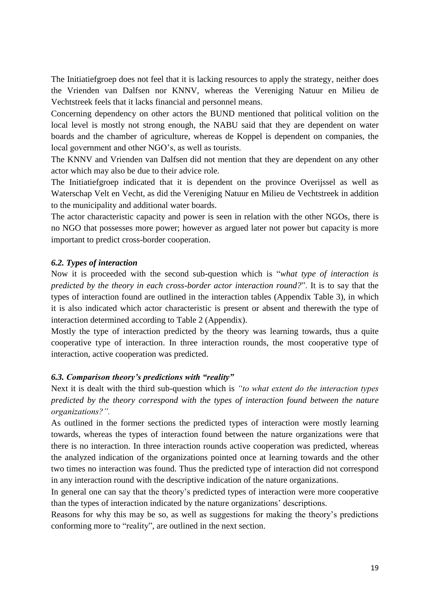The Initiatiefgroep does not feel that it is lacking resources to apply the strategy, neither does the Vrienden van Dalfsen nor KNNV, whereas the Vereniging Natuur en Milieu de Vechtstreek feels that it lacks financial and personnel means.

Concerning dependency on other actors the BUND mentioned that political volition on the local level is mostly not strong enough, the NABU said that they are dependent on water boards and the chamber of agriculture, whereas de Koppel is dependent on companies, the local government and other NGO's, as well as tourists.

The KNNV and Vrienden van Dalfsen did not mention that they are dependent on any other actor which may also be due to their advice role.

The Initiatiefgroep indicated that it is dependent on the province Overijssel as well as Waterschap Velt en Vecht, as did the Vereniging Natuur en Milieu de Vechtstreek in addition to the municipality and additional water boards.

The actor characteristic capacity and power is seen in relation with the other NGOs, there is no NGO that possesses more power; however as argued later not power but capacity is more important to predict cross-border cooperation.

#### *6.2. Types of interaction*

Now it is proceeded with the second sub-question which is "*what type of interaction is predicted by the theory in each cross-border actor interaction round?*". It is to say that the types of interaction found are outlined in the interaction tables (Appendix Table 3), in which it is also indicated which actor characteristic is present or absent and therewith the type of interaction determined according to Table 2 (Appendix).

Mostly the type of interaction predicted by the theory was learning towards, thus a quite cooperative type of interaction. In three interaction rounds, the most cooperative type of interaction, active cooperation was predicted.

#### *6.3. Comparison theory's predictions with "reality"*

Next it is dealt with the third sub-question which is *"to what extent do the interaction types predicted by the theory correspond with the types of interaction found between the nature organizations?".* 

As outlined in the former sections the predicted types of interaction were mostly learning towards, whereas the types of interaction found between the nature organizations were that there is no interaction. In three interaction rounds active cooperation was predicted, whereas the analyzed indication of the organizations pointed once at learning towards and the other two times no interaction was found. Thus the predicted type of interaction did not correspond in any interaction round with the descriptive indication of the nature organizations.

In general one can say that the theory's predicted types of interaction were more cooperative than the types of interaction indicated by the nature organizations' descriptions.

Reasons for why this may be so, as well as suggestions for making the theory's predictions conforming more to "reality", are outlined in the next section.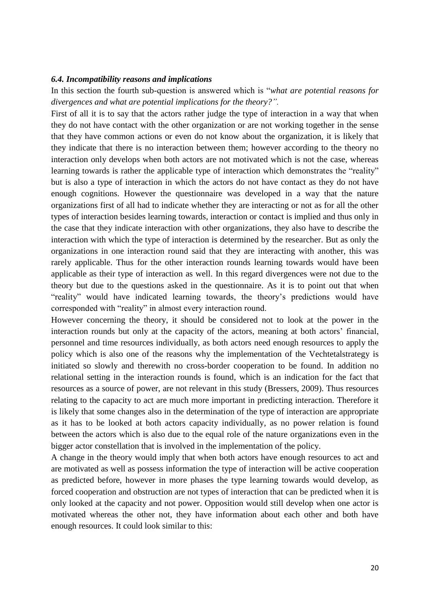#### *6.4. Incompatibility reasons and implications*

In this section the fourth sub-question is answered which is "*what are potential reasons for divergences and what are potential implications for the theory?".*

First of all it is to say that the actors rather judge the type of interaction in a way that when they do not have contact with the other organization or are not working together in the sense that they have common actions or even do not know about the organization, it is likely that they indicate that there is no interaction between them; however according to the theory no interaction only develops when both actors are not motivated which is not the case, whereas learning towards is rather the applicable type of interaction which demonstrates the "reality" but is also a type of interaction in which the actors do not have contact as they do not have enough cognitions. However the questionnaire was developed in a way that the nature organizations first of all had to indicate whether they are interacting or not as for all the other types of interaction besides learning towards, interaction or contact is implied and thus only in the case that they indicate interaction with other organizations, they also have to describe the interaction with which the type of interaction is determined by the researcher. But as only the organizations in one interaction round said that they are interacting with another, this was rarely applicable. Thus for the other interaction rounds learning towards would have been applicable as their type of interaction as well. In this regard divergences were not due to the theory but due to the questions asked in the questionnaire. As it is to point out that when "reality" would have indicated learning towards, the theory's predictions would have corresponded with "reality" in almost every interaction round.

However concerning the theory, it should be considered not to look at the power in the interaction rounds but only at the capacity of the actors, meaning at both actors' financial, personnel and time resources individually, as both actors need enough resources to apply the policy which is also one of the reasons why the implementation of the Vechtetalstrategy is initiated so slowly and therewith no cross-border cooperation to be found. In addition no relational setting in the interaction rounds is found, which is an indication for the fact that resources as a source of power, are not relevant in this study (Bressers, 2009). Thus resources relating to the capacity to act are much more important in predicting interaction. Therefore it is likely that some changes also in the determination of the type of interaction are appropriate as it has to be looked at both actors capacity individually, as no power relation is found between the actors which is also due to the equal role of the nature organizations even in the bigger actor constellation that is involved in the implementation of the policy.

A change in the theory would imply that when both actors have enough resources to act and are motivated as well as possess information the type of interaction will be active cooperation as predicted before, however in more phases the type learning towards would develop, as forced cooperation and obstruction are not types of interaction that can be predicted when it is only looked at the capacity and not power. Opposition would still develop when one actor is motivated whereas the other not, they have information about each other and both have enough resources. It could look similar to this: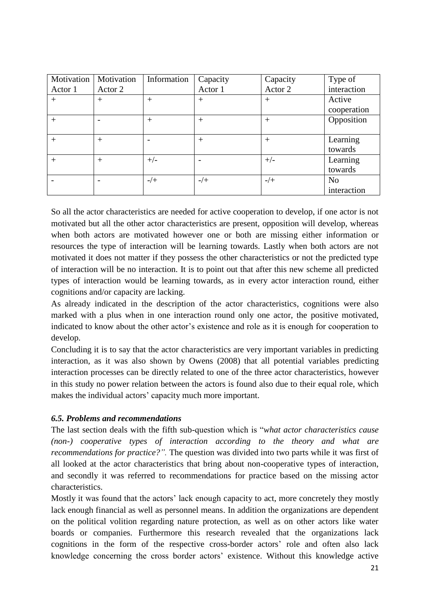| Motivation | Motivation | Information | Capacity | Capacity | Type of        |
|------------|------------|-------------|----------|----------|----------------|
| Actor 1    | Actor 2    |             | Actor 1  | Actor 2  | interaction    |
| $^{+}$     | $+$        | $^{+}$      | $^{+}$   | $^{+}$   | Active         |
|            |            |             |          |          | cooperation    |
| $^{+}$     |            | $^{+}$      | $^{+}$   | $^{+}$   | Opposition     |
|            |            |             |          |          |                |
| $+$        | $+$        |             | $^{+}$   | $^{+}$   | Learning       |
|            |            |             |          |          | towards        |
| $^{+}$     | $+$        | $+/-$       |          | $+/-$    | Learning       |
|            |            |             |          |          | towards        |
|            |            | $-/+$       | $-/+$    | $-/+$    | N <sub>0</sub> |
|            |            |             |          |          | interaction    |

So all the actor characteristics are needed for active cooperation to develop, if one actor is not motivated but all the other actor characteristics are present, opposition will develop, whereas when both actors are motivated however one or both are missing either information or resources the type of interaction will be learning towards. Lastly when both actors are not motivated it does not matter if they possess the other characteristics or not the predicted type of interaction will be no interaction. It is to point out that after this new scheme all predicted types of interaction would be learning towards, as in every actor interaction round, either cognitions and/or capacity are lacking.

As already indicated in the description of the actor characteristics, cognitions were also marked with a plus when in one interaction round only one actor, the positive motivated, indicated to know about the other actor's existence and role as it is enough for cooperation to develop.

Concluding it is to say that the actor characteristics are very important variables in predicting interaction, as it was also shown by Owens (2008) that all potential variables predicting interaction processes can be directly related to one of the three actor characteristics, however in this study no power relation between the actors is found also due to their equal role, which makes the individual actors' capacity much more important.

# *6.5. Problems and recommendations*

The last section deals with the fifth sub-question which is "*what actor characteristics cause (non-) cooperative types of interaction according to the theory and what are recommendations for practice?".* The question was divided into two parts while it was first of all looked at the actor characteristics that bring about non-cooperative types of interaction, and secondly it was referred to recommendations for practice based on the missing actor characteristics.

Mostly it was found that the actors' lack enough capacity to act, more concretely they mostly lack enough financial as well as personnel means. In addition the organizations are dependent on the political volition regarding nature protection, as well as on other actors like water boards or companies. Furthermore this research revealed that the organizations lack cognitions in the form of the respective cross-border actors' role and often also lack knowledge concerning the cross border actors' existence. Without this knowledge active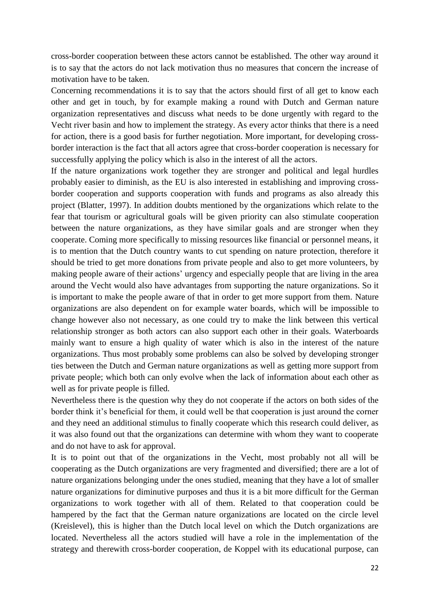cross-border cooperation between these actors cannot be established. The other way around it is to say that the actors do not lack motivation thus no measures that concern the increase of motivation have to be taken.

Concerning recommendations it is to say that the actors should first of all get to know each other and get in touch, by for example making a round with Dutch and German nature organization representatives and discuss what needs to be done urgently with regard to the Vecht river basin and how to implement the strategy. As every actor thinks that there is a need for action, there is a good basis for further negotiation. More important, for developing crossborder interaction is the fact that all actors agree that cross-border cooperation is necessary for successfully applying the policy which is also in the interest of all the actors.

If the nature organizations work together they are stronger and political and legal hurdles probably easier to diminish, as the EU is also interested in establishing and improving crossborder cooperation and supports cooperation with funds and programs as also already this project (Blatter, 1997). In addition doubts mentioned by the organizations which relate to the fear that tourism or agricultural goals will be given priority can also stimulate cooperation between the nature organizations, as they have similar goals and are stronger when they cooperate. Coming more specifically to missing resources like financial or personnel means, it is to mention that the Dutch country wants to cut spending on nature protection, therefore it should be tried to get more donations from private people and also to get more volunteers, by making people aware of their actions' urgency and especially people that are living in the area around the Vecht would also have advantages from supporting the nature organizations. So it is important to make the people aware of that in order to get more support from them. Nature organizations are also dependent on for example water boards, which will be impossible to change however also not necessary, as one could try to make the link between this vertical relationship stronger as both actors can also support each other in their goals. Waterboards mainly want to ensure a high quality of water which is also in the interest of the nature organizations. Thus most probably some problems can also be solved by developing stronger ties between the Dutch and German nature organizations as well as getting more support from private people; which both can only evolve when the lack of information about each other as well as for private people is filled.

Nevertheless there is the question why they do not cooperate if the actors on both sides of the border think it's beneficial for them, it could well be that cooperation is just around the corner and they need an additional stimulus to finally cooperate which this research could deliver, as it was also found out that the organizations can determine with whom they want to cooperate and do not have to ask for approval.

It is to point out that of the organizations in the Vecht, most probably not all will be cooperating as the Dutch organizations are very fragmented and diversified; there are a lot of nature organizations belonging under the ones studied, meaning that they have a lot of smaller nature organizations for diminutive purposes and thus it is a bit more difficult for the German organizations to work together with all of them. Related to that cooperation could be hampered by the fact that the German nature organizations are located on the circle level (Kreislevel), this is higher than the Dutch local level on which the Dutch organizations are located. Nevertheless all the actors studied will have a role in the implementation of the strategy and therewith cross-border cooperation, de Koppel with its educational purpose, can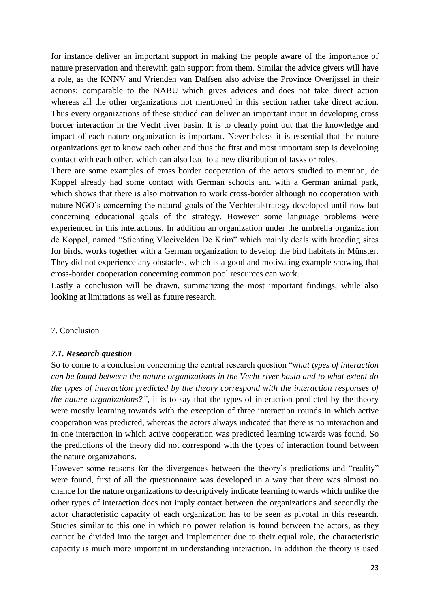for instance deliver an important support in making the people aware of the importance of nature preservation and therewith gain support from them. Similar the advice givers will have a role, as the KNNV and Vrienden van Dalfsen also advise the Province Overijssel in their actions; comparable to the NABU which gives advices and does not take direct action whereas all the other organizations not mentioned in this section rather take direct action. Thus every organizations of these studied can deliver an important input in developing cross border interaction in the Vecht river basin. It is to clearly point out that the knowledge and impact of each nature organization is important. Nevertheless it is essential that the nature organizations get to know each other and thus the first and most important step is developing contact with each other, which can also lead to a new distribution of tasks or roles.

There are some examples of cross border cooperation of the actors studied to mention, de Koppel already had some contact with German schools and with a German animal park, which shows that there is also motivation to work cross-border although no cooperation with nature NGO's concerning the natural goals of the Vechtetalstrategy developed until now but concerning educational goals of the strategy. However some language problems were experienced in this interactions. In addition an organization under the umbrella organization de Koppel, named "Stichting Vloeivelden De Krim" which mainly deals with breeding sites for birds, works together with a German organization to develop the bird habitats in Münster. They did not experience any obstacles, which is a good and motivating example showing that cross-border cooperation concerning common pool resources can work.

Lastly a conclusion will be drawn, summarizing the most important findings, while also looking at limitations as well as future research.

#### 7. Conclusion

#### *7.1. Research question*

So to come to a conclusion concerning the central research question "*what types of interaction can be found between the nature organizations in the Vecht river basin and to what extent do the types of interaction predicted by the theory correspond with the interaction responses of the nature organizations?"*, it is to say that the types of interaction predicted by the theory were mostly learning towards with the exception of three interaction rounds in which active cooperation was predicted, whereas the actors always indicated that there is no interaction and in one interaction in which active cooperation was predicted learning towards was found. So the predictions of the theory did not correspond with the types of interaction found between the nature organizations.

However some reasons for the divergences between the theory's predictions and "reality" were found, first of all the questionnaire was developed in a way that there was almost no chance for the nature organizations to descriptively indicate learning towards which unlike the other types of interaction does not imply contact between the organizations and secondly the actor characteristic capacity of each organization has to be seen as pivotal in this research. Studies similar to this one in which no power relation is found between the actors, as they cannot be divided into the target and implementer due to their equal role, the characteristic capacity is much more important in understanding interaction. In addition the theory is used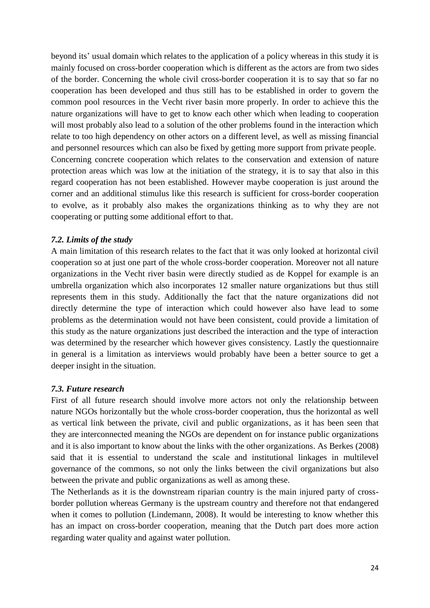beyond its' usual domain which relates to the application of a policy whereas in this study it is mainly focused on cross-border cooperation which is different as the actors are from two sides of the border. Concerning the whole civil cross-border cooperation it is to say that so far no cooperation has been developed and thus still has to be established in order to govern the common pool resources in the Vecht river basin more properly. In order to achieve this the nature organizations will have to get to know each other which when leading to cooperation will most probably also lead to a solution of the other problems found in the interaction which relate to too high dependency on other actors on a different level, as well as missing financial and personnel resources which can also be fixed by getting more support from private people. Concerning concrete cooperation which relates to the conservation and extension of nature protection areas which was low at the initiation of the strategy, it is to say that also in this regard cooperation has not been established. However maybe cooperation is just around the corner and an additional stimulus like this research is sufficient for cross-border cooperation to evolve, as it probably also makes the organizations thinking as to why they are not cooperating or putting some additional effort to that.

# *7.2. Limits of the study*

A main limitation of this research relates to the fact that it was only looked at horizontal civil cooperation so at just one part of the whole cross-border cooperation. Moreover not all nature organizations in the Vecht river basin were directly studied as de Koppel for example is an umbrella organization which also incorporates 12 smaller nature organizations but thus still represents them in this study. Additionally the fact that the nature organizations did not directly determine the type of interaction which could however also have lead to some problems as the determination would not have been consistent, could provide a limitation of this study as the nature organizations just described the interaction and the type of interaction was determined by the researcher which however gives consistency. Lastly the questionnaire in general is a limitation as interviews would probably have been a better source to get a deeper insight in the situation.

#### *7.3. Future research*

First of all future research should involve more actors not only the relationship between nature NGOs horizontally but the whole cross-border cooperation, thus the horizontal as well as vertical link between the private, civil and public organizations, as it has been seen that they are interconnected meaning the NGOs are dependent on for instance public organizations and it is also important to know about the links with the other organizations. As Berkes (2008) said that it is essential to understand the scale and institutional linkages in multilevel governance of the commons, so not only the links between the civil organizations but also between the private and public organizations as well as among these.

The Netherlands as it is the downstream riparian country is the main injured party of crossborder pollution whereas Germany is the upstream country and therefore not that endangered when it comes to pollution (Lindemann, 2008). It would be interesting to know whether this has an impact on cross-border cooperation, meaning that the Dutch part does more action regarding water quality and against water pollution.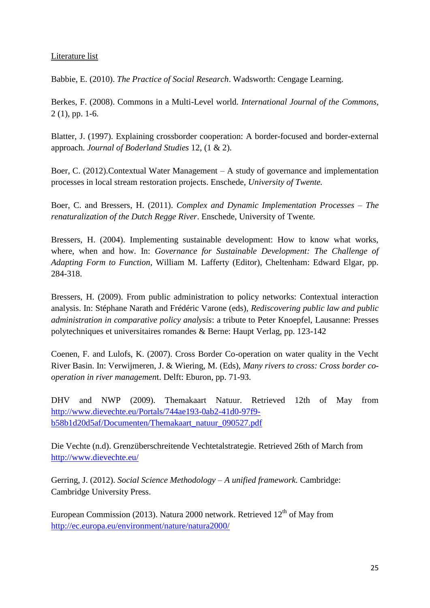# Literature list

Babbie, E. (2010). *The Practice of Social Research*. Wadsworth: Cengage Learning.

Berkes, F. (2008). Commons in a Multi-Level world. *International Journal of the Commons,*  2 (1), pp. 1-6.

Blatter, J. (1997). Explaining crossborder cooperation: A border-focused and border-external approach. *Journal of Boderland Studies* 12, (1 & 2).

Boer, C. (2012).Contextual Water Management – A study of governance and implementation processes in local stream restoration projects. Enschede, *University of Twente.*

Boer, C. and Bressers, H. (2011). *Complex and Dynamic Implementation Processes – The renaturalization of the Dutch Regge River*. Enschede, University of Twente*.*

Bressers, H. (2004). Implementing sustainable development: How to know what works, where, when and how. In: *Governance for Sustainable Development: The Challenge of Adapting Form to Function,* William M. Lafferty (Editor), Cheltenham: Edward Elgar, pp. 284-318.

Bressers, H. (2009). From public administration to policy networks: Contextual interaction analysis. In: Stéphane Narath and Frédéric Varone (eds), *Rediscovering public law and public administration in comparative policy analysis*: a tribute to Peter Knoepfel, Lausanne: Presses polytechniques et universitaires romandes & Berne: Haupt Verlag, pp. 123-142

Coenen, F. and Lulofs, K. (2007). Cross Border Co-operation on water quality in the Vecht River Basin. In: Verwijmeren, J. & Wiering, M. (Eds), *Many rivers to cross: Cross border cooperation in river managemen*t. Delft: Eburon, pp. 71-93.

DHV and NWP (2009). Themakaart Natuur. Retrieved 12th of May from [http://www.dievechte.eu/Portals/744ae193-0ab2-41d0-97f9](http://www.dievechte.eu/Portals/744ae193-0ab2-41d0-97f9-b58b1d20d5af/Documenten/Themakaart_natuur_090527.pdf) [b58b1d20d5af/Documenten/Themakaart\\_natuur\\_090527.pdf](http://www.dievechte.eu/Portals/744ae193-0ab2-41d0-97f9-b58b1d20d5af/Documenten/Themakaart_natuur_090527.pdf)

Die Vechte (n.d). Grenzüberschreitende Vechtetalstrategie. Retrieved 26th of March from <http://www.dievechte.eu/>

Gerring, J. (2012). *Social Science Methodology – A unified framework.* Cambridge: Cambridge University Press.

European Commission (2013). Natura 2000 network. Retrieved  $12<sup>th</sup>$  of May from <http://ec.europa.eu/environment/nature/natura2000/>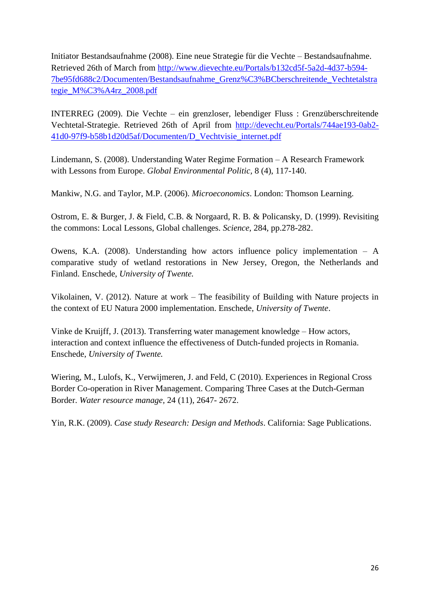Initiator Bestandsaufnahme (2008). Eine neue Strategie für die Vechte – Bestandsaufnahme. Retrieved 26th of March from [http://www.dievechte.eu/Portals/b132cd5f-5a2d-4d37-b594-](http://www.dievechte.eu/Portals/b132cd5f-5a2d-4d37-b594-7be95fd688c2/Documenten/Bestandsaufnahme_Grenz%C3%BCberschreitende_Vechtetalstrategie_M%C3%A4rz_2008.pdf) [7be95fd688c2/Documenten/Bestandsaufnahme\\_Grenz%C3%BCberschreitende\\_Vechtetalstra](http://www.dievechte.eu/Portals/b132cd5f-5a2d-4d37-b594-7be95fd688c2/Documenten/Bestandsaufnahme_Grenz%C3%BCberschreitende_Vechtetalstrategie_M%C3%A4rz_2008.pdf) [tegie\\_M%C3%A4rz\\_2008.pdf](http://www.dievechte.eu/Portals/b132cd5f-5a2d-4d37-b594-7be95fd688c2/Documenten/Bestandsaufnahme_Grenz%C3%BCberschreitende_Vechtetalstrategie_M%C3%A4rz_2008.pdf)

INTERREG (2009). Die Vechte – ein grenzloser, lebendiger Fluss : Grenzüberschreitende Vechtetal-Strategie. Retrieved 26th of April from [http://devecht.eu/Portals/744ae193-0ab2-](http://devecht.eu/Portals/744ae193-0ab2-41d0-97f9-b58b1d20d5af/Documenten/D_Vechtvisie_internet.pdf) [41d0-97f9-b58b1d20d5af/Documenten/D\\_Vechtvisie\\_internet.pdf](http://devecht.eu/Portals/744ae193-0ab2-41d0-97f9-b58b1d20d5af/Documenten/D_Vechtvisie_internet.pdf)

Lindemann, S. (2008). Understanding Water Regime Formation – A Research Framework with Lessons from Europe. *Global Environmental Politic,* 8 (4), 117-140.

Mankiw, N.G. and Taylor, M.P. (2006). *Microeconomics*. London: Thomson Learning.

Ostrom, E. & Burger, J. & Field, C.B. & Norgaard, R. B. & Policansky, D. (1999). Revisiting the commons: Local Lessons, Global challenges. *Science,* 284, pp.278-282.

Owens, K.A. (2008). Understanding how actors influence policy implementation – A comparative study of wetland restorations in New Jersey, Oregon, the Netherlands and Finland. Enschede, *University of Twente.*

Vikolainen, V. (2012). Nature at work – The feasibility of Building with Nature projects in the context of EU Natura 2000 implementation. Enschede, *University of Twente*.

Vinke de Kruijff, J. (2013). Transferring water management knowledge – How actors, interaction and context influence the effectiveness of Dutch-funded projects in Romania. Enschede, *University of Twente.*

Wiering, M., Lulofs, K., Verwijmeren, J. and Feld, C (2010). Experiences in Regional Cross Border Co-operation in River Management. Comparing Three Cases at the Dutch-German Border. *Water resource manage,* 24 (11), 2647- 2672.

Yin, R.K. (2009). *Case study Research: Design and Methods*. California: Sage Publications.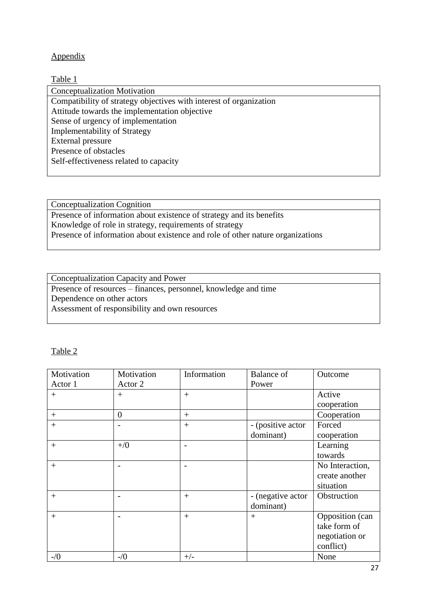# Appendix

#### Table 1

Conceptualization Motivation Compatibility of strategy objectives with interest of organization Attitude towards the implementation objective Sense of urgency of implementation Implementability of Strategy External pressure Presence of obstacles Self-effectiveness related to capacity

Conceptualization Cognition Presence of information about existence of strategy and its benefits Knowledge of role in strategy, requirements of strategy Presence of information about existence and role of other nature organizations

Conceptualization Capacity and Power Presence of resources – finances, personnel, knowledge and time Dependence on other actors Assessment of responsibility and own resources

#### Table 2

| Motivation | Motivation     | Information | Balance of        | Outcome         |
|------------|----------------|-------------|-------------------|-----------------|
| Actor 1    | Actor 2        |             | Power             |                 |
| $^{+}$     | $^{+}$         | $^{+}$      |                   | Active          |
|            |                |             |                   | cooperation     |
| $+$        | $\overline{0}$ | $+$         |                   | Cooperation     |
| $^{+}$     |                | $+$         | - (positive actor | Forced          |
|            |                |             | dominant)         | cooperation     |
| $^{+}$     | $+$ /0         |             |                   | Learning        |
|            |                |             |                   | towards         |
| $^{+}$     |                |             |                   | No Interaction, |
|            |                |             |                   | create another  |
|            |                |             |                   | situation       |
| $^{+}$     |                | $^{+}$      | - (negative actor | Obstruction     |
|            |                |             | dominant)         |                 |
| $+$        |                | $^{+}$      | $^{+}$            | Opposition (can |
|            |                |             |                   | take form of    |
|            |                |             |                   | negotiation or  |
|            |                |             |                   | conflict)       |
| $-1/0$     | $-1/0$         | $+/-$       |                   | None            |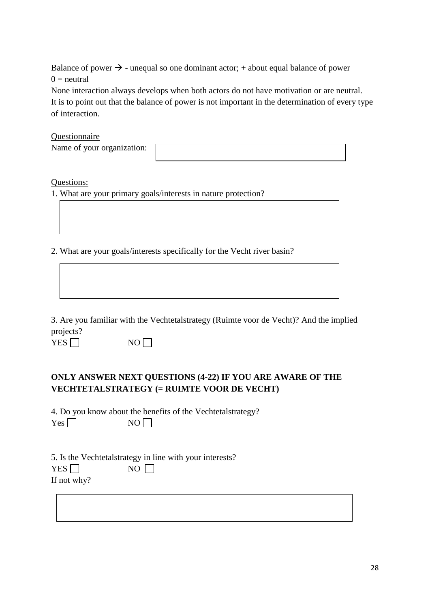Balance of power  $\rightarrow$  - unequal so one dominant actor; + about equal balance of power  $0 =$  neutral

None interaction always develops when both actors do not have motivation or are neutral. It is to point out that the balance of power is not important in the determination of every type of interaction.

#### **Questionnaire**

|  | Name of your organization: |
|--|----------------------------|
|  |                            |

#### Questions:

1. What are your primary goals/interests in nature protection?

2. What are your goals/interests specifically for the Vecht river basin?

3. Are you familiar with the Vechtetalstrategy (Ruimte voor de Vecht)? And the implied projects?

 $YES \Box$  NO

# **ONLY ANSWER NEXT QUESTIONS (4-22) IF YOU ARE AWARE OF THE VECHTETALSTRATEGY (= RUIMTE VOOR DE VECHT)**

4. Do you know about the benefits of the Vechtetalstrategy?  $NO$ 

| Y<br>٠o<br>$\overline{\phantom{a}}$<br>- |  |  |  |  |  |
|------------------------------------------|--|--|--|--|--|
|------------------------------------------|--|--|--|--|--|

|             | 5. Is the Vechtetal strategy in line with your interests? |  |
|-------------|-----------------------------------------------------------|--|
| YES         | $NO$                                                      |  |
| If not why? |                                                           |  |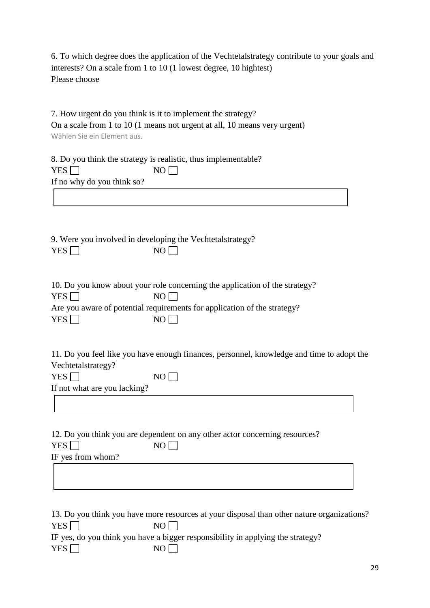6. To which degree does the application of the Vechtetalstrategy contribute to your goals and interests? On a scale from 1 to 10 (1 lowest degree, 10 hightest) Please choose

|                              | 7. How urgent do you think is it to implement the strategy?                                |  |
|------------------------------|--------------------------------------------------------------------------------------------|--|
|                              | On a scale from 1 to 10 (1 means not urgent at all, 10 means very urgent)                  |  |
| Wählen Sie ein Element aus.  |                                                                                            |  |
|                              |                                                                                            |  |
|                              | 8. Do you think the strategy is realistic, thus implementable?                             |  |
| YES $\Box$                   | NO                                                                                         |  |
| If no why do you think so?   |                                                                                            |  |
|                              |                                                                                            |  |
|                              |                                                                                            |  |
|                              |                                                                                            |  |
|                              |                                                                                            |  |
|                              | 9. Were you involved in developing the Vechtetalstrategy?                                  |  |
| YES                          | NO                                                                                         |  |
|                              |                                                                                            |  |
|                              | 10. Do you know about your role concerning the application of the strategy?                |  |
| YES $\Box$                   | NO <sub>1</sub>                                                                            |  |
|                              | Are you aware of potential requirements for application of the strategy?                   |  |
| YES $\Box$                   | NO                                                                                         |  |
|                              |                                                                                            |  |
|                              |                                                                                            |  |
|                              | 11. Do you feel like you have enough finances, personnel, knowledge and time to adopt the  |  |
| Vechtetalstrategy?           |                                                                                            |  |
| YES $\Box$                   | NO <sub>l</sub>                                                                            |  |
| If not what are you lacking? |                                                                                            |  |
|                              |                                                                                            |  |
|                              |                                                                                            |  |
|                              | 12. Do you think you are dependent on any other actor concerning resources?                |  |
| <b>YES</b>                   | NO                                                                                         |  |
| IF yes from whom?            |                                                                                            |  |
|                              |                                                                                            |  |
|                              |                                                                                            |  |
|                              |                                                                                            |  |
|                              |                                                                                            |  |
|                              | 13. Do you think you have more resources at your disposal than other nature organizations? |  |

|                  | 19. Do you think you have more resources at your disposal than other hatare organizations |
|------------------|-------------------------------------------------------------------------------------------|
| YES <sup>I</sup> | NO LI                                                                                     |
|                  | IF yes, do you think you have a bigger responsibility in applying the strategy?           |
| YES              | NO L                                                                                      |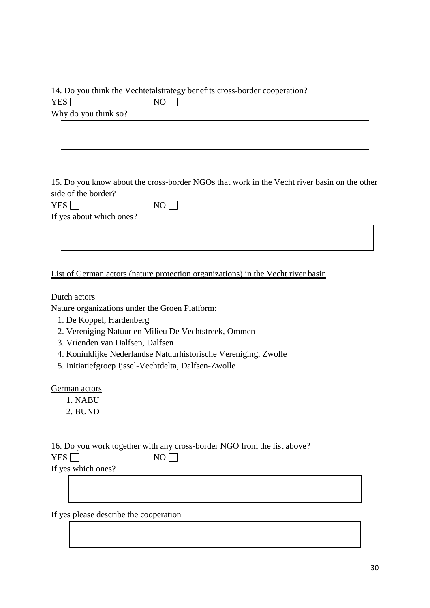|                      | 14. Do you think the Vechtetal strategy benefits cross-border cooperation? |  |
|----------------------|----------------------------------------------------------------------------|--|
| YES I                | $NO$ $\Box$                                                                |  |
| Why do you think so? |                                                                            |  |

15. Do you know about the cross-border NGOs that work in the Vecht river basin on the other side of the border?

 $YES \t{N}{O}$ If yes about which ones?

| List of German actors (nature protection organizations) in the Vecht river basin |  |  |  |
|----------------------------------------------------------------------------------|--|--|--|
|                                                                                  |  |  |  |

Dutch actors

Nature organizations under the Groen Platform:

- 1. De Koppel, Hardenberg
- 2. Vereniging Natuur en Milieu De Vechtstreek, Ommen
- 3. Vrienden van Dalfsen, Dalfsen
- 4. Koninklijke Nederlandse Natuurhistorische Vereniging, Zwolle
- 5. Initiatiefgroep Ijssel-Vechtdelta, Dalfsen-Zwolle

German actors

- 1. NABU
- 2. BUND

|                                                                              |  |      | 16. Do you work together with any cross-border NGO from the list above? |  |  |
|------------------------------------------------------------------------------|--|------|-------------------------------------------------------------------------|--|--|
| YES $\Box$                                                                   |  | $NO$ |                                                                         |  |  |
| $\mathbf{r} \cdot \mathbf{r}$ , and the set of $\mathbf{r} \cdot \mathbf{r}$ |  |      |                                                                         |  |  |

If yes which ones?

If yes please describe the cooperation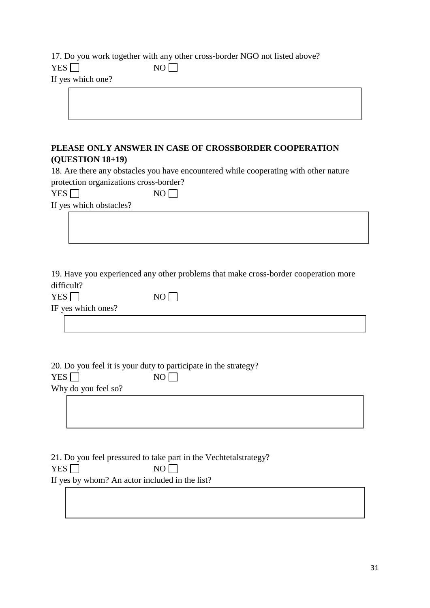17. Do you work together with any other cross-border NGO not listed above?  $YES \Box$  NO  $\Box$ If yes which one?

# **PLEASE ONLY ANSWER IN CASE OF CROSSBORDER COOPERATION (QUESTION 18+19)**

18. Are there any obstacles you have encountered while cooperating with other nature protection organizations cross-border?

| <b>YES</b> | NO. |  |
|------------|-----|--|
|            |     |  |

If yes which obstacles?

19. Have you experienced any other problems that make cross-border cooperation more difficult?

| YES $\Box$     |  |
|----------------|--|
| $\cdots$<br>TГ |  |

|  | IF yes which ones? |  |
|--|--------------------|--|
|  |                    |  |

20. Do you feel it is your duty to participate in the strategy?  $YES \Box$  NO  $\Box$ Why do you feel so?

 $NO$ 

21. Do you feel pressured to take part in the Vechtetalstrategy?  $YES \Box$  NO If yes by whom? An actor included in the list?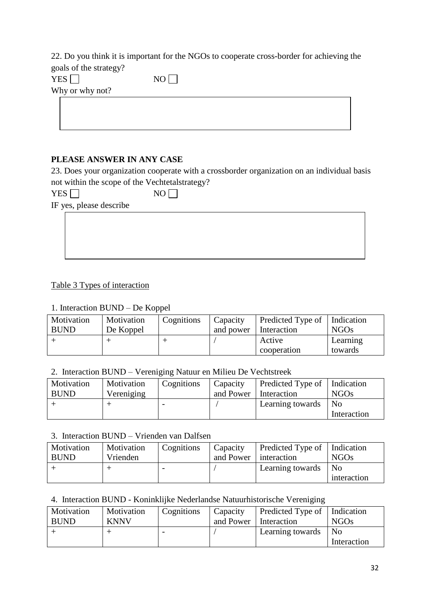22. Do you think it is important for the NGOs to cooperate cross-border for achieving the goals of the strategy?

| <b>YES</b>      | N <sub>0</sub> |  |  |
|-----------------|----------------|--|--|
| Why or why not? |                |  |  |
|                 |                |  |  |
|                 |                |  |  |
|                 |                |  |  |

# **PLEASE ANSWER IN ANY CASE**

23. Does your organization cooperate with a crossborder organization on an individual basis not within the scope of the Vechtetalstrategy?

 $YES \Box$  NO

IF yes, please describe

# Table 3 Types of interaction

# 1. Interaction BUND – De Koppel

| Motivation<br><b>BUND</b> | Motivation<br>De Koppel | Cognitions | Capacity<br>and power | Predicted Type of   Indication<br>Interaction | <b>NGOs</b>         |
|---------------------------|-------------------------|------------|-----------------------|-----------------------------------------------|---------------------|
|                           |                         |            |                       | Active<br>cooperation                         | Learning<br>towards |

# 2. Interaction BUND – Vereniging Natuur en Milieu De Vechtstreek

| Motivation  | Motivation | Cognitions | Capacity  | Predicted Type of   Indication |             |
|-------------|------------|------------|-----------|--------------------------------|-------------|
| <b>BUND</b> | Vereniging |            | and Power | Interaction                    | <b>NGOs</b> |
|             |            |            |           | Learning towards               | No          |
|             |            |            |           |                                | Interaction |

#### 3. Interaction BUND – Vrienden van Dalfsen

| Motivation<br><b>BUND</b> | Motivation<br>Vrienden | Cognitions | Capacity<br>and Power | Predicted Type of   Indication<br>interaction | <b>NGOs</b>       |
|---------------------------|------------------------|------------|-----------------------|-----------------------------------------------|-------------------|
|                           |                        |            |                       | Learning towards                              | No<br>interaction |

# 4. Interaction BUND - Koninklijke Nederlandse Natuurhistorische Vereniging

| Motivation<br><b>BUND</b> | Motivation<br><b>KNNV</b> | Cognitions | Capacity<br>and Power | Predicted Type of   Indication<br>Interaction | <b>NGOs</b>                   |
|---------------------------|---------------------------|------------|-----------------------|-----------------------------------------------|-------------------------------|
|                           |                           |            |                       | Learning towards                              | N <sub>0</sub><br>Interaction |